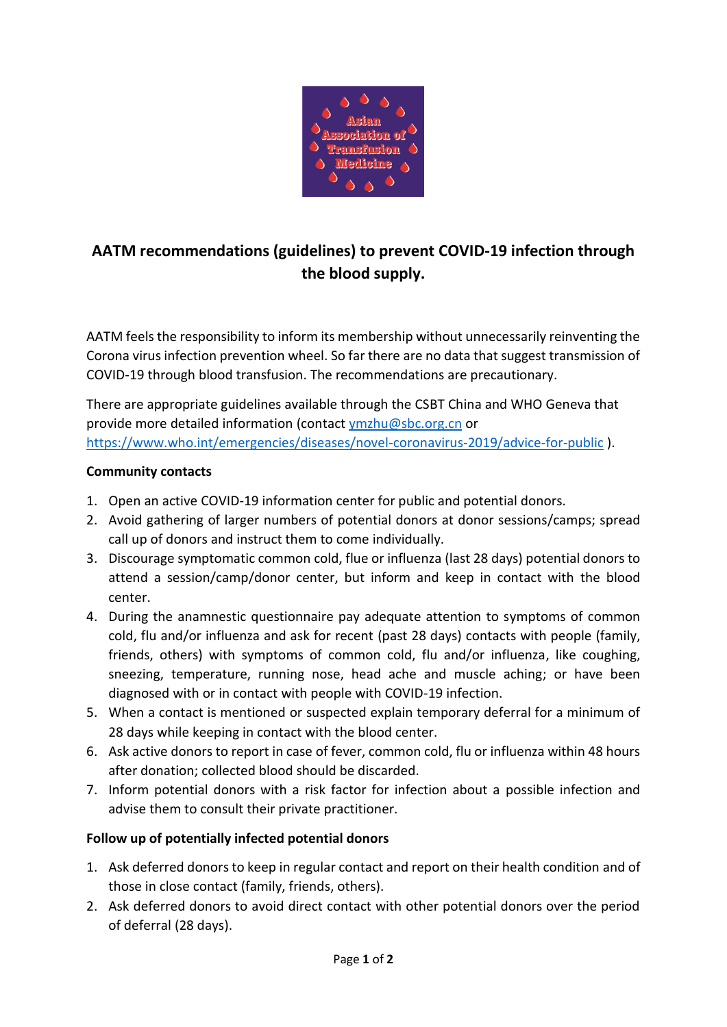

# **AATM recommendations (guidelines) to prevent COVID-19 infection through the blood supply.**

AATM feels the responsibility to inform its membership without unnecessarily reinventing the Corona virus infection prevention wheel. So far there are no data that suggest transmission of COVID-19 through blood transfusion. The recommendations are precautionary.

There are appropriate guidelines available through the CSBT China and WHO Geneva that provide more detailed information (contact [ymzhu@sbc.org.cn](mailto:ymzhu@sbc.org.cn) or <https://www.who.int/emergencies/diseases/novel-coronavirus-2019/advice-for-public> ).

#### **Community contacts**

- 1. Open an active COVID-19 information center for public and potential donors.
- 2. Avoid gathering of larger numbers of potential donors at donor sessions/camps; spread call up of donors and instruct them to come individually.
- 3. Discourage symptomatic common cold, flue or influenza (last 28 days) potential donors to attend a session/camp/donor center, but inform and keep in contact with the blood center.
- 4. During the anamnestic questionnaire pay adequate attention to symptoms of common cold, flu and/or influenza and ask for recent (past 28 days) contacts with people (family, friends, others) with symptoms of common cold, flu and/or influenza, like coughing, sneezing, temperature, running nose, head ache and muscle aching; or have been diagnosed with or in contact with people with COVID-19 infection.
- 5. When a contact is mentioned or suspected explain temporary deferral for a minimum of 28 days while keeping in contact with the blood center.
- 6. Ask active donors to report in case of fever, common cold, flu or influenza within 48 hours after donation; collected blood should be discarded.
- 7. Inform potential donors with a risk factor for infection about a possible infection and advise them to consult their private practitioner.

## **Follow up of potentially infected potential donors**

- 1. Ask deferred donors to keep in regular contact and report on their health condition and of those in close contact (family, friends, others).
- 2. Ask deferred donors to avoid direct contact with other potential donors over the period of deferral (28 days).